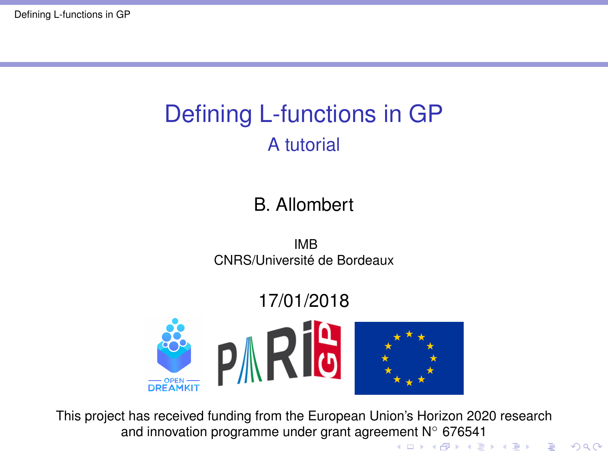# <span id="page-0-0"></span>Defining L-functions in GP A tutorial

#### B. Allombert

IMB CNRS/Université de Bordeaux

#### 17/01/2018



This project has received funding from the European Union's Horizon 2020 research and innovation program[me](#page-0-0) under grant agreemen[t N](#page-1-0)° [67](#page-0-0)[6](#page-1-0)[54](#page-0-0)[1](#page-20-0)<br> $\left( \begin{array}{cc} 1 \ 1 \ 2 \end{array} \right)$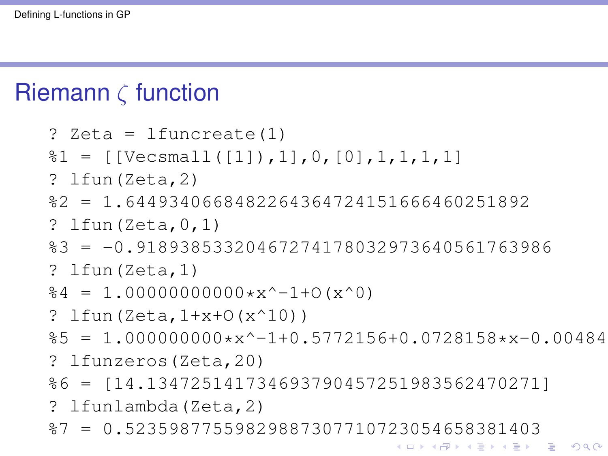## <span id="page-1-0"></span>Riemann  $\zeta$  function

```
? Zeta = lfuncreate(1)
\text{81} = [\text{[Vecsmall([1]),1],0,[0],1,1,1,1,1}]? lfun(Zeta,2)
%2 = 1.6449340668482264364724151666460251892
? lfun(Zeta,0,1)
%3 = -0.91893853320467274178032973640561763986
? lfun(Zeta,1)
64 = 1.000000000000*x^2-1+0(x^0)? lfun(Zeta, 1+x+O(x^10))\text{\%5} = 1.000000000* x^2-1+0.5772156+0.0728158*x-0.00484? lfunzeros(Zeta,20)
%6 = [14.134725141734693790457251983562470271]
? lfunlambda(Zeta,2)
%7 = 0.52359877559829887307710723054658381403K ロ > K 個 > K 差 > K 差 > → 差 → の Q Q →
```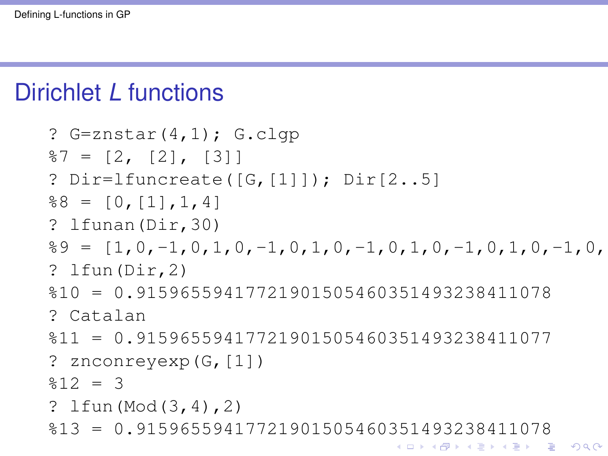## Dirichlet *L* functions

```
? G=znstar(4,1); G.clqp
87 = [2, [2], [3]? Dir=lfuncreate([G,[1]]); Dir[2..5]
88 = [0, [1], 1, 4]? lfunan(Dir,30)
%9 = [1,0,-1,0,1,0,-1,0,1,0,-1,0,1,0,-1,0,1,0,-1,0,1,0,-1,0,1,0,-1,0,1,0]
? lfun(Dir,2)
%10 = 0.91596559417721901505460351493238411078
? Catalan
%11 = 0.91596559417721901505460351493238411077? znconreyexp(G,[1])
812 = 3? lfun(Mod(3,4),2)
%13 = 0.91596559417721901505460351493238411078KEL KALE KEL KEL KAR
```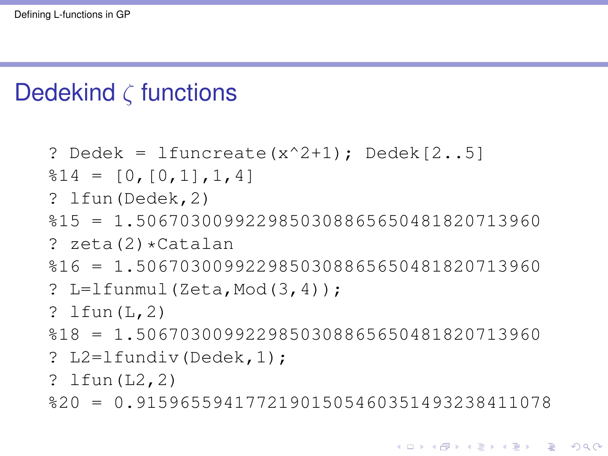## Dedekind  $\zeta$  functions

```
? Dedek = lfuncreate(x^2+1); Dedek[2..5]§14 = [0, [0,1], 1,4]? lfun(Dedek,2)
%15 = 1.5067030099229850308865650481820713960
? zeta(2)*Catalan
%16 = 1.5067030099229850308865650481820713960
? L=lfunmul(Zeta, Mod(3,4));
? lfun(L,2)
%18 = 1.5067030099229850308865650481820713960
? L2=lfundiv(Dedek,1);
? lfun(L2,2)
%20 = 0.91596559417721901505460351493238411078
```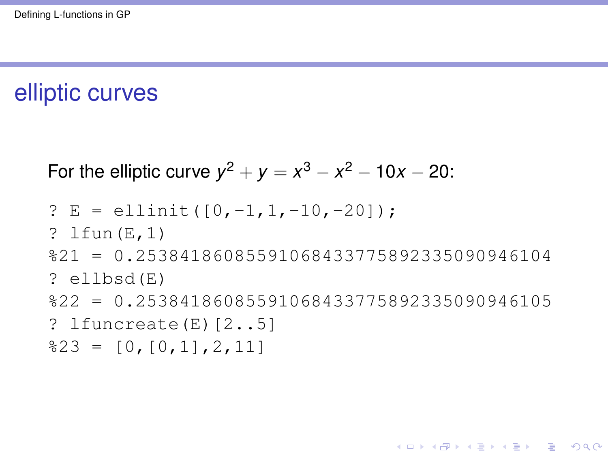# elliptic curves

For the elliptic curve 
$$
y^2 + y = x^3 - x^2 - 10x - 20
$$
:

? E = ellinit([0,-1,1,-10,-20]); ? lfun(E,1) %21 = 0.25384186085591068433775892335090946104 ? ellbsd(E) %22 = 0.25384186085591068433775892335090946105 ? lfuncreate(E)[2..5] %23 = [0,[0,1],2,11]

K ロ ▶ K @ ▶ K 할 > K 할 > 1 할 > 1 9 Q Q \*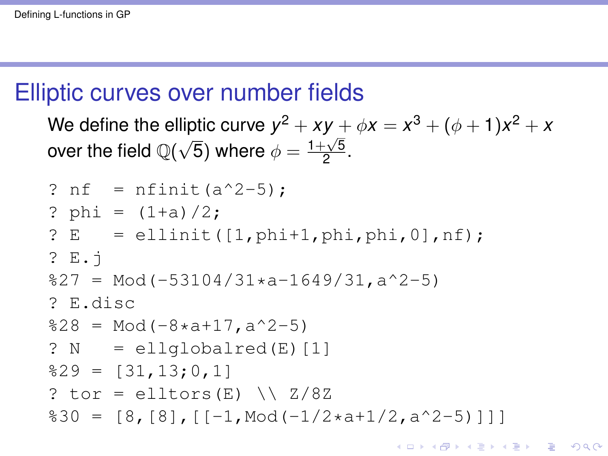#### Elliptic curves over number fields

We define the elliptic curve  $y^2 + xy + \phi x = x^3 + (\phi + 1)x^2 + x$ over the field  $\mathbb{Q}(\sqrt{2})$  $\overline{5}$ ) where  $\phi = \frac{1+\sqrt{5}}{2}$  $\frac{1}{2}$ .

```
? nf = nfinite(a^2-5);
? phi = (1+a)/2;
? E = ellipti([1,phi+1,phi,phi,0], nf);? E.j
827 = Mod(-53104/31*a-1649/31,a^2-5)? E.disc
828 = Mod(-8*at17, a^2-5)? N = ellqlobalred(E) [1]829 = [31, 13; 0, 1]? tor = elltors(E) \setminus Z/8Z
830 = [8, [8], [\lceil -1, \text{Mod}(-1/2 \star a + 1/2, a^2 - 5)]]
```
**KORK ERKER ADAM ADA**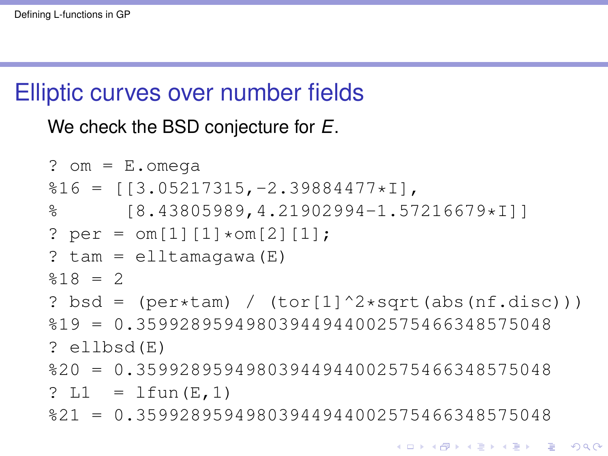## Elliptic curves over number fields

We check the BSD conjecture for *E*.

```
? om = E.omeqa%16 = [[3.05217315,-2.39884477*I],
% [8.43805989,4.21902994-1.57216679*I]]
? per = \text{om}[1][1]*\text{om}[2][1];? tan = elltamagawa(E)$18 = 2? bsd = (\text{per}*\text{tan}) / (\text{tor}[1]^2*\text{sqrt}(\text{abs}(nf.disc)))%19 = 0.35992895949803944944002575466348575048
? ellbsd(E)
%20 = 0.35992895949803944944002575466348575048
? LI = Ifun(E,1)%21 = 0.35992895949803944944002575466348575048
```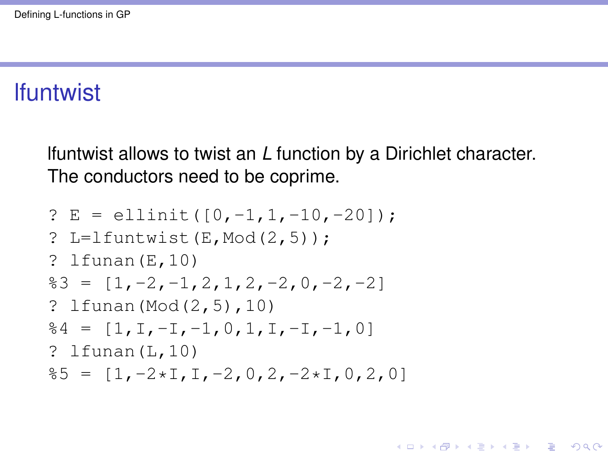#### lfuntwist

lfuntwist allows to twist an *L* function by a Dirichlet character. The conductors need to be coprime.

```
? E = ellinit([0,-1,1,-10,-20]):
? L=lfuntwist(E, Mod(2,5)):
? lfunan(E,10)
83 = [1,-2,-1,2,1,2,-2,0,-2,-2]? lfunan(Mod(2,5),10)
64 = [1, I, -I, -1, 0, 1, I, -I, -1, 0]? lfunan(L,10)
85 = [1, -2 \times 1, 1, -2, 0, 2, -2 \times 1, 0, 2, 0]
```
**KORKARA KERKER DAGA**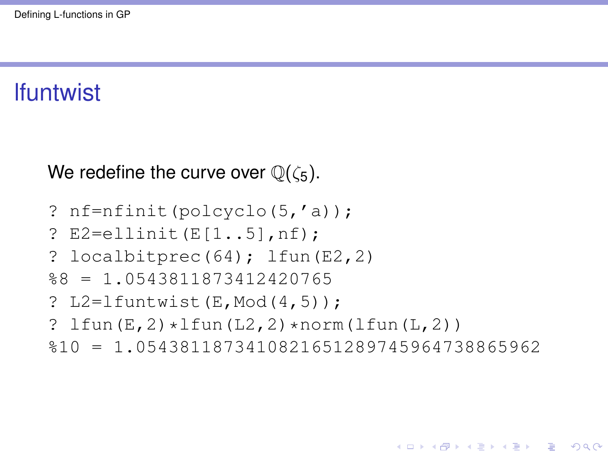## lfuntwist

We redefine the curve over  $\mathbb{Q}(\zeta_5)$ .

? 
$$
nf = n \cdot (p \cdot o \cdot o \cdot (5, 'a))
$$

? E2=ellinit(E[1..5],nf);

? 
$$
localbitprec(64);
$$
 Ifun(E2,2)

$$
$8 = 1.0543811873412420765
$$

? L2=1funtwist(E, Mod
$$
(4, 5)
$$
);

?  $lfun(E,2)*lfun(L2,2)*norm(lfun(L,2))$ 

```
%10 = 1.0543811873410821651289745964738865962
```
K ロ ▶ K @ ▶ K 할 ▶ K 할 ▶ | 할 | K 9 Q Q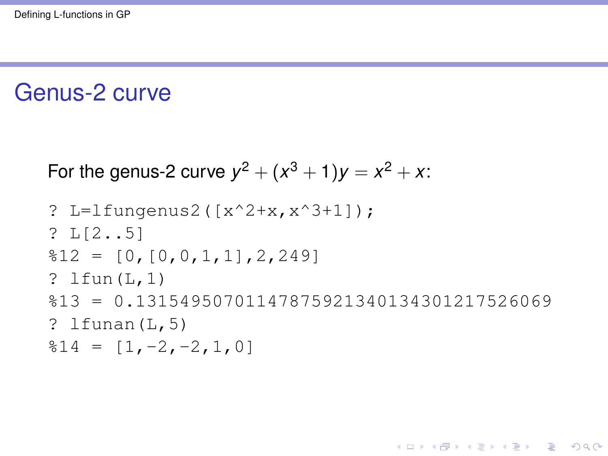## Genus-2 curve

For the genus-2 curve 
$$
y^2 + (x^3 + 1)y = x^2 + x
$$
:

```
? L=lfungenus2([x^2+x,x^3+1]);
? L[2..5]
812 = [0, [0, 0, 1, 1], 2, 249]? lfun(L,1)
%13 = 0.13154950701147875921340134301217526069
? lfunan(L,5)814 = [1, -2, -2, 1, 0]
```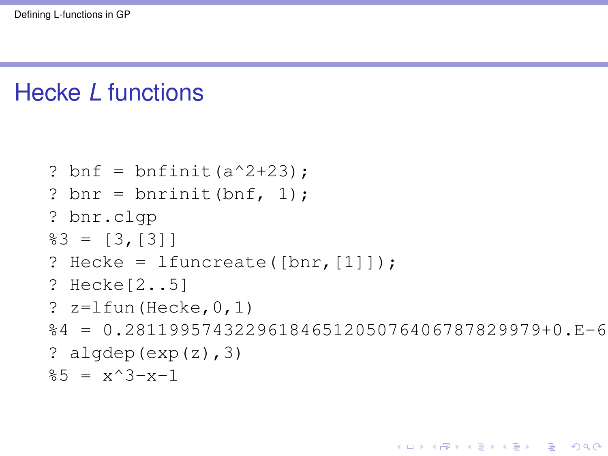## Hecke *L* functions

```
? bnf = bnfinit(a^2+23):
? bnr = bnrinit(bnf, 1);
? bnr.clgp
83 = [3, [3]]? Hecke = 1funcreate([bnr, [1]]);
? Hecke[2..5]
? z = lfun (Hecke, 0, 1)
%4 = 0.28119957432296184651205076406787829979+0.E-6? algdep(exp(z), 3)\frac{1}{2} = x^3 - x - 1
```
**KOD CONTRACT A BOAR KOD A CO**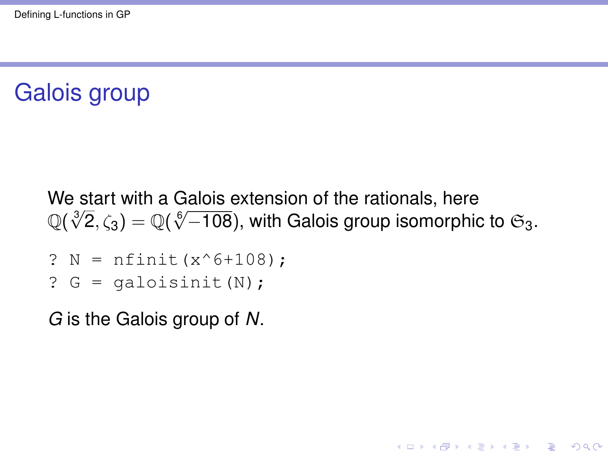# <span id="page-11-0"></span>Galois group

We start with a Galois extension of the rationals, here we start with a Galois extension of the rationals, here  $\mathbb{Q}(\sqrt[3]{2},\zeta_3) = \mathbb{Q}(\sqrt[6]{-108})$ , with Galois group isomorphic to  $\mathfrak{S}_3$ .

**KORK ERKER ADAM ADA** 

- ?  $N = n$ finit(x^6+108);
- ?  $G =$  qaloisinit  $(N)$ ;

*G* is the Galois group of *N*.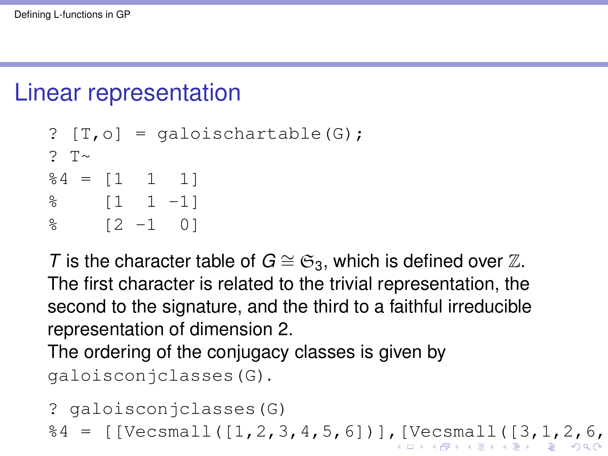## <span id="page-12-0"></span>Linear representation

```
[ T, o ] = qaloischartable(G);
? T\sim84 = [1 \ 1 \ 1]% [1 1 -1]
% [2 -1 0]
```
*T* is the character table of  $G \cong \mathfrak{S}_3$ , which is defined over Z. The first character is related to the trivial representation, the second to the signature, and the third to a faithful irreducible representation of dimension 2.

The ordering of the conjugacy classes is given by galoisconjclasses(G).

```
? galoisconjclasses(G)
%4 = [[Vecsmall([1,2,3,4,5,6])],[Vecsmall([3,1,2,6,4,5]),Vecsmall([2,3,1,5,6,4])],[Vecsmall([6,5,4,3,2,1]),Vecsmall([5,4,6,2,1,3]),Vecsmall([4,6,5,1,3,2])]]
```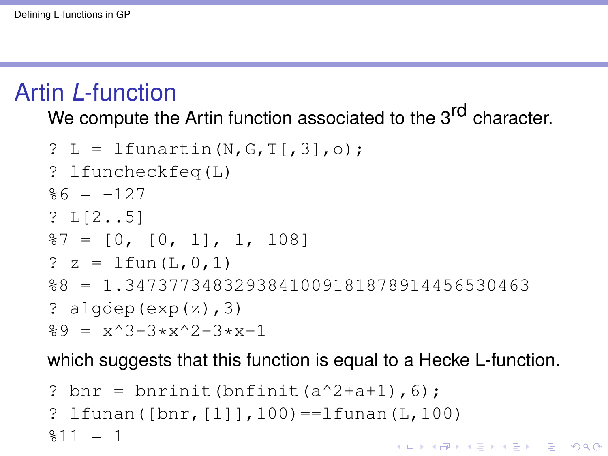## <span id="page-13-0"></span>Artin *L*-function

We compute the Artin function associated to the 3<sup>rd</sup> character.

```
? L = lfunartin(N, G, T[, 3], o);
? lfuncheckfeq(L)
%6 = -127? L[2..5]
87 = [0, [0, 1], 1, 108]? z = 1 fun (L, 0, 1)%8 = 1.3473773483293841009181878914456530463
? algdep(exp(z), 3)\%9 = x^3 - 3*x^2 - 3*x - 1
```
which suggests that this function is equal to a Hecke L-function.

```
? bnr = bnrinit(bnfinit(a^2+a+1), 6);
? lfunan([bnr, [1]], 100) = = lfunan(L, 100)
2811 = 1KORK ERKER ADAM ADA
```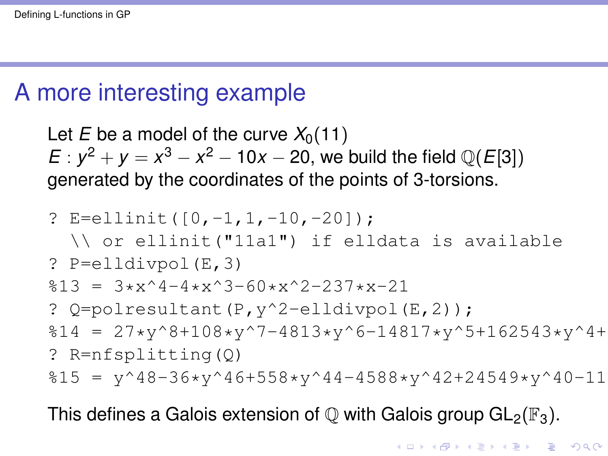## <span id="page-14-0"></span>A more interesting example

Let *E* be a model of the curve  $X_0(11)$  $E: y^2 + y = x^3 - x^2 - 10x - 20$ , we build the field  $\mathbb{Q}(E[3])$ generated by the coordinates of the points of 3-torsions.

? E=ellinit([0,-1,1,-10,-20]); \\ or ellinit("11a1") if elldata is available ? P=elldivpol(E,3) %13 = 3\*x^4-4\*x^3-60\*x^2-237\*x-21 ? Q=polresultant(P,y^2-elldivpol(E,2)); %14 = 27\*y^8+108\*y^7-4813\*y^6-14817\*y^5+162543\*y^4+349907\*y^3+267096\*y^2+89655\*y-101306819 ? R=nfsplitting(Q) %15 = y^48-36\*y^46+558\*y^44-4588\*y^42+24549\*y^40-116343\*y^38+448230\*y^36-607011\*y^34-2339472\*y^32+11589823\*y^30+647445\*y^28+51237771\*y^26-174384162\*y^24+186030660\*y^22-613287741\*y^20+356831711\*y^18+24874998\*y^16+1451203998\*y^14+487478410\*y^12+1619789490\*y^10+753657696\*y^8+577265832\*y^6+416905137\*y^4+64039734\*y^2+10673289

This defines a Galois extension of  $\mathbb Q$  with Galois group  $GL_2(\mathbb F_3)$ .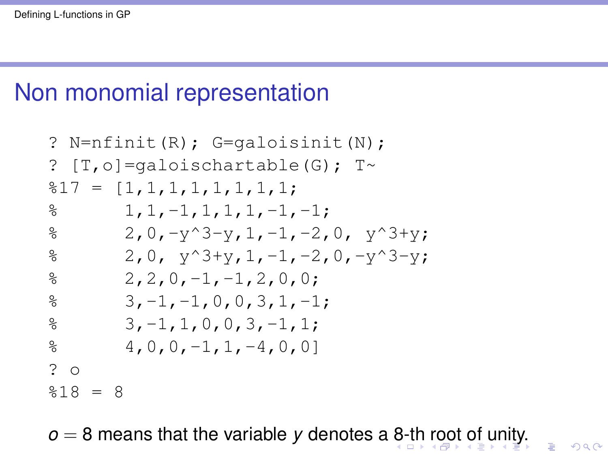## <span id="page-15-0"></span>Non monomial representation

? N=nfinit(R); G=galoisinit(N); ? [T,o]=galoischartable(G); T~ %17 = [1,1,1,1,1,1,1,1; % 1,1,-1,1,1,1,-1,-1; % 2,0,-y^3-y,1,-1,-2,0, y^3+y; % 2,0, y^3+y,1,-1,-2,0,-y^3-y; % 2,2,0,-1,-1,2,0,0; % 3,-1,-1,0,0,3,1,-1; % 3,-1,1,0,0,3,-1,1; % 4,0,0,-1,1,-4,0,0] ? o %18 = 8

*o* = 8 means t[h](#page-16-0)a[t](#page-16-0) the variable *y* denotes a [8-](#page-14-0)th [r](#page-14-0)[oo](#page-15-0)t [of](#page-0-0) [u](#page-20-0)[nit](#page-0-0)[y.](#page-20-0)

 $299$ 

Þ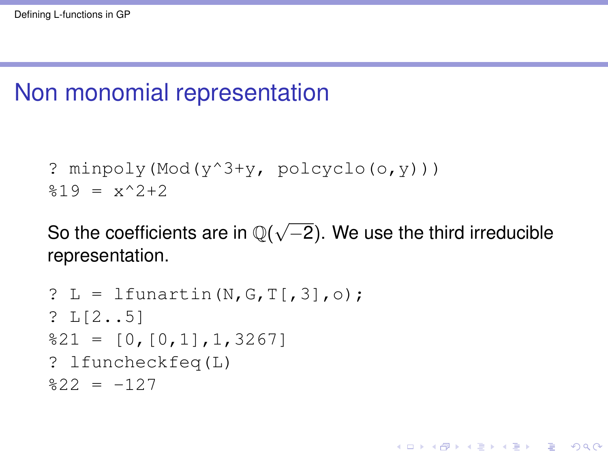## <span id="page-16-0"></span>Non monomial representation

```
? minpoly(Mod(y^3+y, polcyclo(o,y)))
\frac{1}{2}19 = x^22 + 2
```
So the coefficients are in  $\mathbb{Q}(\sqrt{2})$ −2). We use the third irreducible representation.

**KOD KARD KED KED BE YOUR** 

```
? L = Ifunartin(N,G,T[,3], o);? L[2..5]
821 = [0, [0,1], 1,3267]? lfuncheckfeq(L)
822 = -127
```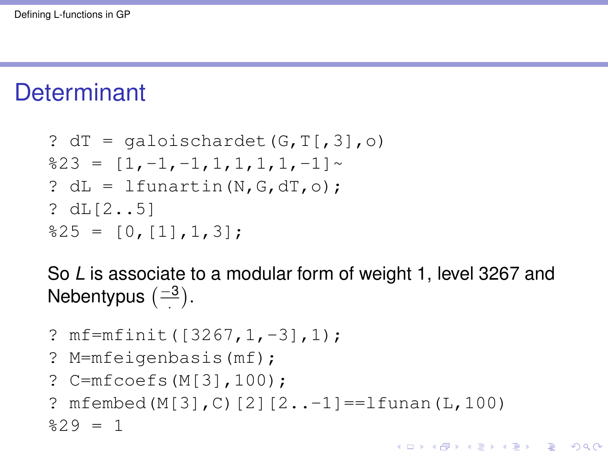## **Determinant**

```
? dT = qaloischardet(G, T[, 3], o)823 = [1,-1,-1,1,1,1,1,-1]? dL = Lfunartin(N, G, d, O);
? dL[2..5]825 = [0, 11, 1, 3];
```
So *L* is associate to a modular form of weight 1, level 3267 and Nebentypus  $\left(\frac{-3}{2}\right)$ .

```
? mf=mfinit([3267,1,-3],1);
? M=mfeigenbasis(mf);
? C=mfcoefs(M[3],100);
? mfembed(M[3], C)[2][2..-1]==lfunan(L,100)
29 = 1
```
**KOD KARD KED KED BE YOUR**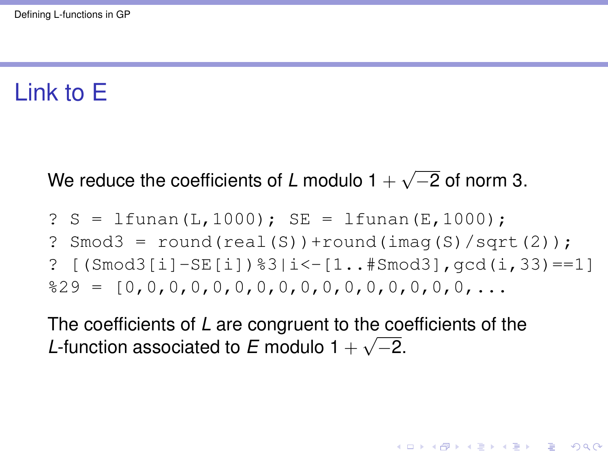## Link to E

#### We reduce the coefficients of *L* modulo 1 + √ −2 of norm 3.

? S = 
$$
\text{Ifunan}(L, 1000); SE = Ifunan(E, 1000);
$$

- ? Smod3 =  $round(real(S)) + round(inaq(S)/sqrt(2));$
- ?  $[$  (Smod3 $[i]$ -SE $[i]$ )  $\$3|i$  <  $[1.1, 1.1]$   $]$  and  $3|$ ,  $qcd(i, 33)$  =  $=1$ %29 = [0,0,0,0,0,0,0,0,0,0,0,0,0,0,0,0,...

**KORK ERKER ADAM ADA** 

The coefficients of *L* are congruent to the coefficients of the *L*-function associated to *E* modulo  $1 + \sqrt{-2}$ .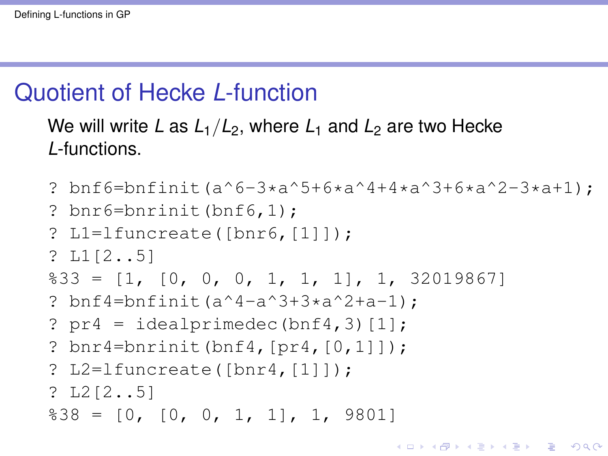## Quotient of Hecke *L*-function

#### We will write *L* as  $L_1/L_2$ , where  $L_1$  and  $L_2$  are two Hecke *L*-functions.

```
? bnf6=bnfinit(a^6-3*a^5+6*a^4+4*a^3+6*a^2-3*a+1);
? bnr6=bnrinit(bnf6,1);
? L1=lfuncreate([bnr6,[1]]);
? L1[2..5]
833 = [1, [0, 0, 0, 1, 1, 1], 1, 32019867]? bnf4=bnfinit(a^4-a^3+3*a^2+a-1);
? pr4 = idealprime(bnf4, 3)[1];? bnr4=bnrinit(bnf4,[pr4,[0,1]]);
? L2=lfuncreate([bnr4,[1]]);
? L2[2..5]
\$38 = [0, [0, 0, 1, 1], 1, 9801]
```
K ロ ▶ K @ ▶ K 할 ▶ K 할 ▶ | 할 | K 9 Q Q